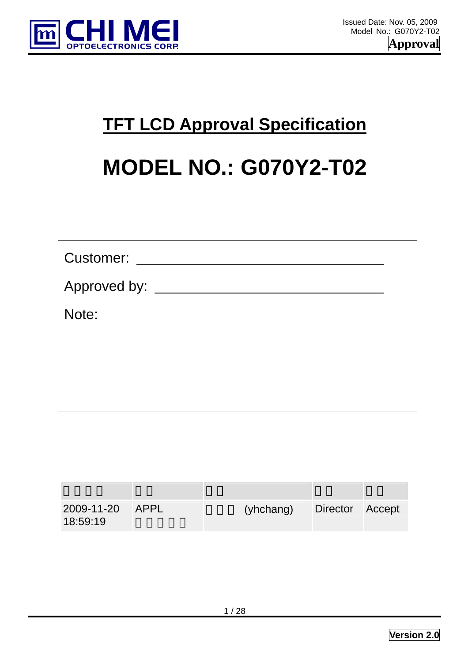

# **TFT LCD Approval Specification**

# **MODEL NO.: G070Y2-T02**

| <b>Customer:</b>  |  |
|-------------------|--|
| Approved by: ____ |  |
| Note:             |  |
|                   |  |
|                   |  |
|                   |  |

| 2009-11-20 APPL<br>18:59:19 | (yhchang) | Director Accept |  |
|-----------------------------|-----------|-----------------|--|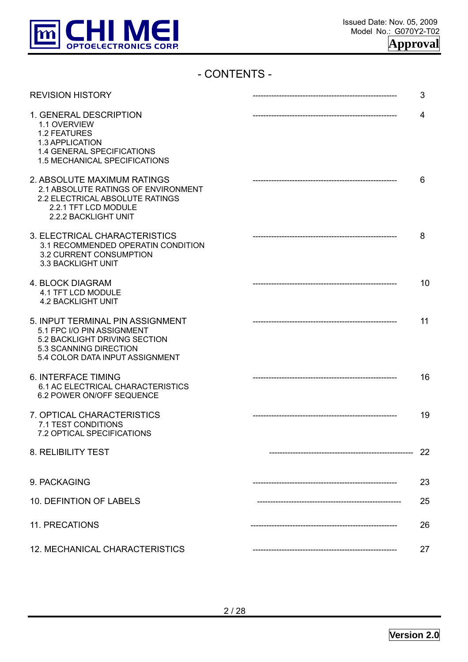

# - CONTENTS -

| <b>REVISION HISTORY</b>                                                                                                                                      | 3  |
|--------------------------------------------------------------------------------------------------------------------------------------------------------------|----|
| 1. GENERAL DESCRIPTION<br>1.1 OVERVIEW<br><b>1.2 FEATURES</b><br>1.3 APPLICATION<br>1.4 GENERAL SPECIFICATIONS<br>1.5 MECHANICAL SPECIFICATIONS              | 4  |
| 2. ABSOLUTE MAXIMUM RATINGS<br>2.1 ABSOLUTE RATINGS OF ENVIRONMENT<br>2.2 ELECTRICAL ABSOLUTE RATINGS<br>2.2.1 TFT LCD MODULE<br>2.2.2 BACKLIGHT UNIT        | 6  |
| 3. ELECTRICAL CHARACTERISTICS<br>3.1 RECOMMENDED OPERATIN CONDITION<br>3.2 CURRENT CONSUMPTION<br>3.3 BACKLIGHT UNIT                                         | 8  |
| 4. BLOCK DIAGRAM<br>4.1 TFT LCD MODULE<br><b>4.2 BACKLIGHT UNIT</b>                                                                                          | 10 |
| 5. INPUT TERMINAL PIN ASSIGNMENT<br>5.1 FPC I/O PIN ASSIGNMENT<br>5.2 BACKLIGHT DRIVING SECTION<br>5.3 SCANNING DIRECTION<br>5.4 COLOR DATA INPUT ASSIGNMENT | 11 |
| <b>6. INTERFACE TIMING</b><br>6.1 AC ELECTRICAL CHARACTERISTICS<br>6.2 POWER ON/OFF SEQUENCE                                                                 | 16 |
| 7. OPTICAL CHARACTERISTICS<br>7.1 TEST CONDITIONS<br>7.2 OPTICAL SPECIFICATIONS                                                                              | 19 |
| 8. RELIBILITY TEST                                                                                                                                           | 22 |
| 9. PACKAGING                                                                                                                                                 | 23 |
| 10. DEFINTION OF LABELS                                                                                                                                      | 25 |
| 11. PRECATIONS                                                                                                                                               | 26 |
| 12. MECHANICAL CHARACTERISTICS                                                                                                                               | 27 |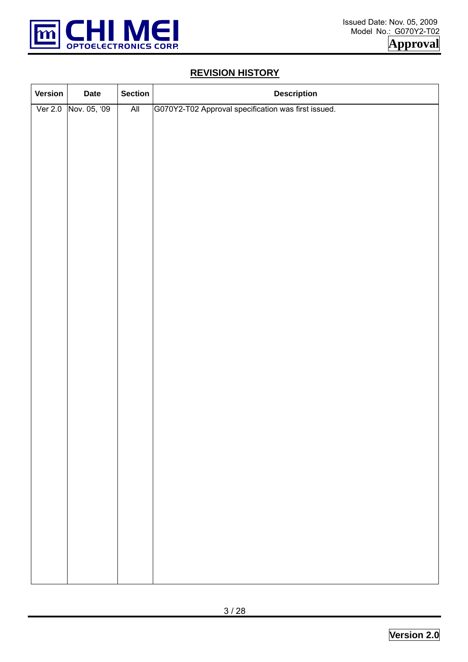

# **REVISION HISTORY**

| Version   | <b>Date</b>  | <b>Section</b>            | <b>Description</b>                                  |
|-----------|--------------|---------------------------|-----------------------------------------------------|
| Ver $2.0$ | Nov. 05, '09 | $\overline{\mathsf{All}}$ | G070Y2-T02 Approval specification was first issued. |
|           |              |                           |                                                     |
|           |              |                           |                                                     |
|           |              |                           |                                                     |
|           |              |                           |                                                     |
|           |              |                           |                                                     |
|           |              |                           |                                                     |
|           |              |                           |                                                     |
|           |              |                           |                                                     |
|           |              |                           |                                                     |
|           |              |                           |                                                     |
|           |              |                           |                                                     |
|           |              |                           |                                                     |
|           |              |                           |                                                     |
|           |              |                           |                                                     |
|           |              |                           |                                                     |
|           |              |                           |                                                     |
|           |              |                           |                                                     |
|           |              |                           |                                                     |
|           |              |                           |                                                     |
|           |              |                           |                                                     |
|           |              |                           |                                                     |
|           |              |                           |                                                     |
|           |              |                           |                                                     |
|           |              |                           |                                                     |
|           |              |                           |                                                     |
|           |              |                           |                                                     |
|           |              |                           |                                                     |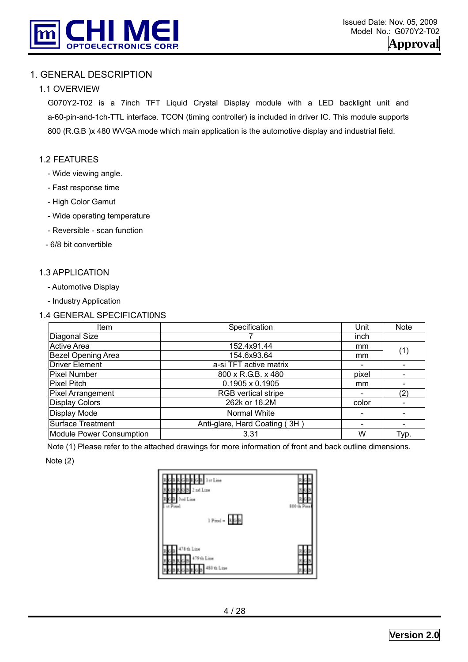

# 1. GENERAL DESCRIPTION

#### 1.1 OVERVIEW

G070Y2-T02 is a 7inch TFT Liquid Crystal Display module with a LED backlight unit and a-60-pin-and-1ch-TTL interface. TCON (timing controller) is included in driver IC. This module supports 800 (R.G.B )x 480 WVGA mode which main application is the automotive display and industrial field.

#### 1.2 FEATURES

- Wide viewing angle.
- Fast response time
- High Color Gamut
- Wide operating temperature
- Reversible scan function
- 6/8 bit convertible

#### 1.3 APPLICATION

- Automotive Display
- Industry Application

#### 1.4 GENERAL SPECIFICATI0NS

| <b>Item</b>                     | Specification                 | Unit                     | <b>Note</b>              |
|---------------------------------|-------------------------------|--------------------------|--------------------------|
| Diagonal Size                   |                               | inch                     |                          |
| <b>Active Area</b>              | 152.4x91.44                   | mm                       |                          |
| <b>Bezel Opening Area</b>       | 154.6x93.64                   | mm                       | (1)                      |
| <b>Driver Element</b>           | a-si TFT active matrix        |                          |                          |
| <b>Pixel Number</b>             | 800 x R.G.B. x 480            | pixel                    |                          |
| <b>Pixel Pitch</b>              | $0.1905 \times 0.1905$        | mm                       |                          |
| <b>Pixel Arrangement</b>        | <b>RGB</b> vertical stripe    |                          | (2)                      |
| <b>Display Colors</b>           | 262k or 16.2M                 | color                    |                          |
| <b>Display Mode</b>             | Normal White                  | $\overline{\phantom{0}}$ |                          |
| Surface Treatment               | Anti-glare, Hard Coating (3H) | $\overline{\phantom{0}}$ | $\overline{\phantom{a}}$ |
| <b>Module Power Consumption</b> | 3.31                          | w                        | Typ.                     |

Note (1) Please refer to the attached drawings for more information of front and back outline dimensions.

Note (2)

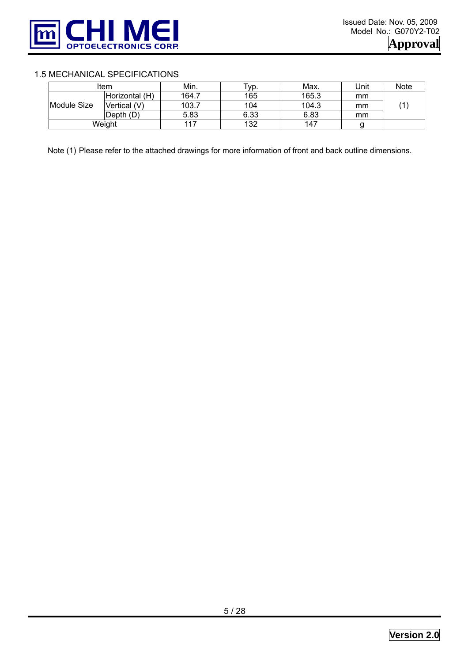

#### 1.5 MECHANICAL SPECIFICATIONS

| Item        |                | Min.        | Typ. | Max.  | Unit | <b>Note</b> |  |
|-------------|----------------|-------------|------|-------|------|-------------|--|
|             | Horizontal (H) | 164.7       | 165  | 165.3 | mm   |             |  |
| Module Size | Vertical (V)   | 103.7       | 104  | 104.3 | mm   |             |  |
|             |                | Depth $(D)$ | 5.83 | 6.33  | 6.83 | mm          |  |
| Weight      |                | 117         | 132  | 147   |      |             |  |

Note (1) Please refer to the attached drawings for more information of front and back outline dimensions.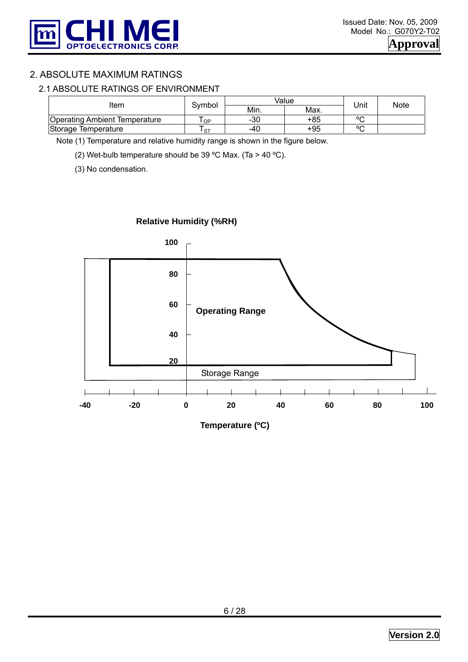

# 2. ABSOLUTE MAXIMUM RATINGS

#### 2.1 ABSOLUTE RATINGS OF ENVIRONMENT

| ltem                                 | Svmbol    | Value | Unit | <b>Note</b> |  |  |
|--------------------------------------|-----------|-------|------|-------------|--|--|
|                                      |           | Min.  | Max. |             |  |  |
| <b>Operating Ambient Temperature</b> | OP        | $-30$ | +85  | $\circ$     |  |  |
| Storage Temperature                  | <b>ST</b> | -40   | +95  | $\sim$      |  |  |

Note (1) Temperature and relative humidity range is shown in the figure below.

(2) Wet-bulb temperature should be 39 °C Max. (Ta > 40 °C).

(3) No condensation.



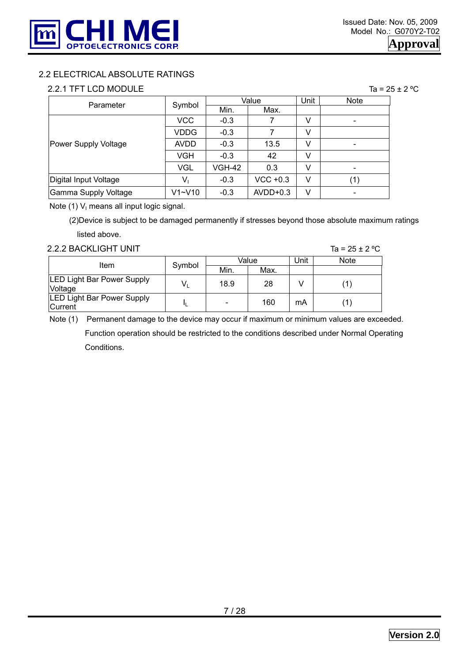

#### 2.2 ELECTRICAL ABSOLUTE RATINGS

#### 2.2.1 TFT LCD MODULE Ta =  $25 \pm 2$  °C

| Parameter             | Symbol      |               | Value      | Unit | <b>Note</b> |
|-----------------------|-------------|---------------|------------|------|-------------|
|                       |             | Min.          | Max.       |      |             |
|                       | <b>VCC</b>  | $-0.3$        |            | v    |             |
| Power Supply Voltage  | <b>VDDG</b> | $-0.3$        |            | V    |             |
|                       | <b>AVDD</b> | $-0.3$        | 13.5       | v    |             |
|                       | VGH         | $-0.3$        | 42         | v    |             |
|                       | <b>VGL</b>  | <b>VGH-42</b> | 0.3        | v    |             |
| Digital Input Voltage | V,          | $-0.3$        | $VCC +0.3$ | v    | (1)         |
| Gamma Supply Voltage  | $V1 - V10$  | $-0.3$        | $AVDD+0.3$ | v    |             |

Note  $(1)$  V<sub>I</sub> means all input logic signal.

 (2)Device is subject to be damaged permanently if stresses beyond those absolute maximum ratings listed above.

#### 2.2.2 BACKLIGHT UNIT  $\overline{a} = 25 \pm 2 \degree C$

|                                                     | Symbol |      | Value | Unit | <b>Note</b> |
|-----------------------------------------------------|--------|------|-------|------|-------------|
| Item                                                |        | Min. | Max.  |      |             |
| <b>LED Light Bar Power Supply</b><br>Voltage        | V,     | 18.9 | 28    |      |             |
| <b>LED Light Bar Power Supply</b><br><b>Current</b> |        |      | 160   | mA   |             |

Note (1) Permanent damage to the device may occur if maximum or minimum values are exceeded. Function operation should be restricted to the conditions described under Normal Operating Conditions.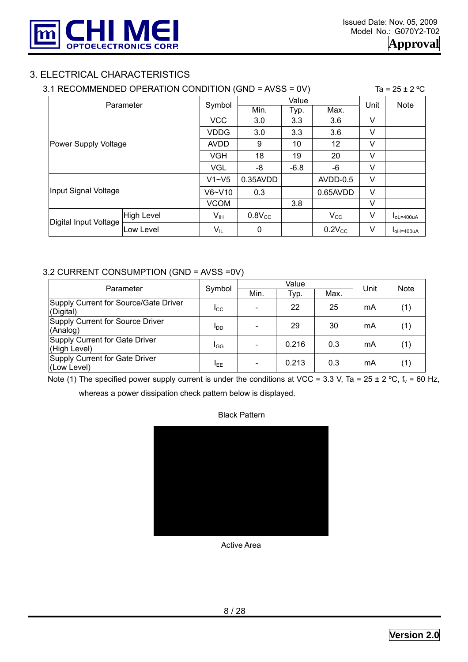

# 3. ELECTRICAL CHARACTERISTICS

|                       | 3.1 RECOMMENDED OPERATION CONDITION (GND = AVSS = 0V) |                            |             |        |              |      |                  |
|-----------------------|-------------------------------------------------------|----------------------------|-------------|--------|--------------|------|------------------|
|                       | Parameter                                             | Symbol                     |             | Value  |              | Unit | <b>Note</b>      |
|                       |                                                       |                            | Min.        | Typ.   | Max.         |      |                  |
|                       |                                                       | <b>VCC</b>                 | 3.0         | 3.3    | 3.6          | V    |                  |
|                       |                                                       | VDDG                       | 3.0         | 3.3    | 3.6          | V    |                  |
|                       | Power Supply Voltage                                  |                            | 9           | 10     | 12           | V    |                  |
|                       |                                                       |                            | 18          | 19     | 20           | v    |                  |
|                       |                                                       | VGL                        | -8          | $-6.8$ | -6           | v    |                  |
|                       |                                                       |                            | 0.35AVDD    |        | $AVDD-0.5$   | v    |                  |
| Input Signal Voltage  |                                                       | V6~V10                     | 0.3         |        | 0.65AVDD     | V    |                  |
|                       |                                                       | <b>VCOM</b>                |             | 3.8    |              | V    |                  |
| Digital Input Voltage | <b>High Level</b>                                     | $V_{\sf IH}$               | $0.8V_{CC}$ |        | $V_{\rm CC}$ | V    | $I_{OL} = 400uA$ |
|                       | Low Level                                             | $\mathsf{V}_{\mathsf{IL}}$ | 0           |        | $0.2V_{CC}$  | ٧    | $IoH=400uA$      |

#### 3.2 CURRENT CONSUMPTION (GND = AVSS =0V)

| Parameter                                          | Symbol          |      | Value | Unit | <b>Note</b> |     |
|----------------------------------------------------|-----------------|------|-------|------|-------------|-----|
|                                                    |                 | Min. | Typ.  | Max. |             |     |
| Supply Current for Source/Gate Driver<br>(Digital) | <b>I</b> CC     | -    | 22    | 25   | mA          | (1) |
| Supply Current for Source Driver<br>(Analog)       | <b>I</b> DD     |      | 29    | 30   | mA          | (1) |
| Supply Current for Gate Driver<br>(High Level)     | I <sub>GG</sub> |      | 0.216 | 0.3  | mA          | (1) |
| Supply Current for Gate Driver<br>(Low Level)      | <b>IEE</b>      |      | 0.213 | 0.3  | mA          | (1) |

Note (1) The specified power supply current is under the conditions at VCC = 3.3 V, Ta = 25 ± 2 °C,  $f_v$  = 60 Hz,

whereas a power dissipation check pattern below is displayed.

Black Pattern

Active Area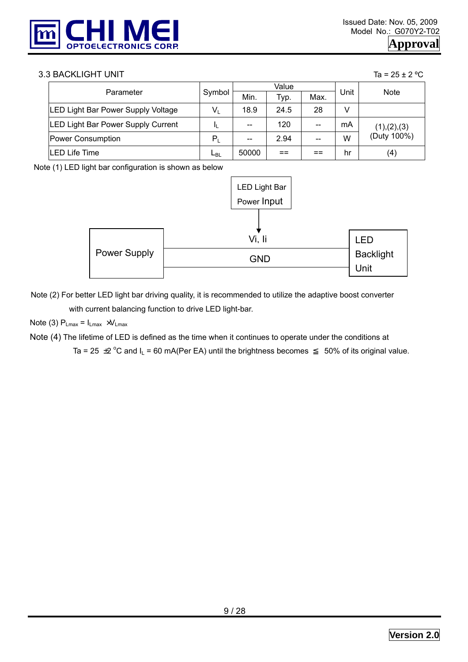

#### $3.3$  BACKLIGHT UNIT Tags and  $3.3$  BACKLIGHT UNIT

| ъ | Е<br>ィハ | റ | o٢ |
|---|---------|---|----|
|   |         |   |    |

|                                    |         |       | Value |                        |      |               |  |
|------------------------------------|---------|-------|-------|------------------------|------|---------------|--|
| Parameter                          | Symbol  | Min.  | Typ.  | Max.                   | Unit | <b>Note</b>   |  |
| LED Light Bar Power Supply Voltage | $V_{L}$ | 18.9  | 24.5  | 28                     |      |               |  |
| LED Light Bar Power Supply Current |         |       | 120   | $\qquad \qquad \cdots$ | mA   | (1), (2), (3) |  |
| Power Consumption                  | $P_L$   | $- -$ | 2.94  |                        | W    | (Duty 100%)   |  |
| LED Life Time                      | LBL     | 50000 | ==    | ==                     | hr   | (4)           |  |

Note (1) LED light bar configuration is shown as below



Note (2) For better LED light bar driving quality, it is recommended to utilize the adaptive boost converter with current balancing function to drive LED light-bar.

Note (3)  $P_{Lmax} = I_{Lmax} \times V_{Lmax}$ 

Note (4) The lifetime of LED is defined as the time when it continues to operate under the conditions at

Ta = 25  $\pm$ 2 °C and I<sub>L</sub> = 60 mA(Per EA) until the brightness becomes 50% of its original value.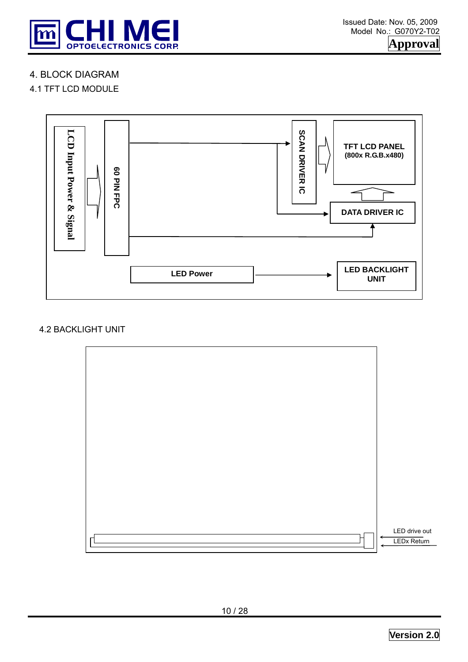

# 4. BLOCK DIAGRAM

# 4.1 TFT LCD MODULE



#### 4.2 BACKLIGHT UNIT

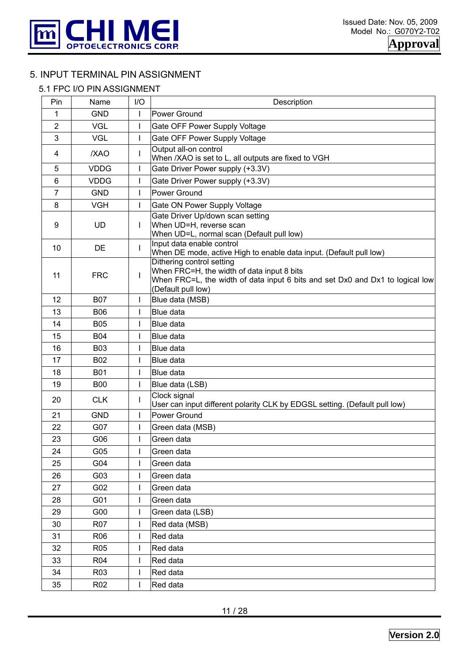

# 5. INPUT TERMINAL PIN ASSIGNMENT

#### 5.1 FPC I/O PIN ASSIGNMENT

| Pin            | Name            | 1/O          | Description                                                                                                                                                                    |
|----------------|-----------------|--------------|--------------------------------------------------------------------------------------------------------------------------------------------------------------------------------|
| 1              | <b>GND</b>      | $\mathbf{I}$ | <b>Power Ground</b>                                                                                                                                                            |
| $\overline{2}$ | <b>VGL</b>      | $\mathsf{L}$ | Gate OFF Power Supply Voltage                                                                                                                                                  |
| 3              | <b>VGL</b>      | $\mathsf{I}$ | Gate OFF Power Supply Voltage                                                                                                                                                  |
| 4              | /XAO            | L            | Output all-on control<br>When /XAO is set to L, all outputs are fixed to VGH                                                                                                   |
| 5              | <b>VDDG</b>     | $\mathsf{I}$ | Gate Driver Power supply (+3.3V)                                                                                                                                               |
| $6\phantom{1}$ | <b>VDDG</b>     | L            | Gate Driver Power supply (+3.3V)                                                                                                                                               |
| 7              | <b>GND</b>      |              | Power Ground                                                                                                                                                                   |
| 8              | <b>VGH</b>      | L            | Gate ON Power Supply Voltage                                                                                                                                                   |
| 9              | <b>UD</b>       | L            | Gate Driver Up/down scan setting<br>When UD=H, reverse scan<br>When UD=L, normal scan (Default pull low)                                                                       |
| 10             | <b>DE</b>       | L            | Input data enable control<br>When DE mode, active High to enable data input. (Default pull low)                                                                                |
| 11             | <b>FRC</b>      | $\mathbf{I}$ | Dithering control setting<br>When FRC=H, the width of data input 8 bits<br>When FRC=L, the width of data input 6 bits and set Dx0 and Dx1 to logical low<br>(Default pull low) |
| 12             | <b>B07</b>      | L            | Blue data (MSB)                                                                                                                                                                |
| 13             | <b>B06</b>      | L            | <b>Blue data</b>                                                                                                                                                               |
| 14             | <b>B05</b>      | T            | <b>Blue data</b>                                                                                                                                                               |
| 15             | <b>B04</b>      | L            | Blue data                                                                                                                                                                      |
| 16             | <b>B03</b>      | L            | Blue data                                                                                                                                                                      |
| 17             | <b>B02</b>      | $\mathbf{I}$ | <b>Blue data</b>                                                                                                                                                               |
| 18             | <b>B01</b>      | $\mathbf{I}$ | Blue data                                                                                                                                                                      |
| 19             | <b>B00</b>      | $\mathsf{I}$ | Blue data (LSB)                                                                                                                                                                |
| 20             | <b>CLK</b>      | T            | Clock signal<br>User can input different polarity CLK by EDGSL setting. (Default pull low)                                                                                     |
| 21             | <b>GND</b>      | $\mathbf{I}$ | Power Ground                                                                                                                                                                   |
| 22             | G07             | L            | Green data (MSB)                                                                                                                                                               |
| 23             | G06             | L            | Green data                                                                                                                                                                     |
| 24             | G05             |              | Green data                                                                                                                                                                     |
| 25             | G04             |              | Green data                                                                                                                                                                     |
| 26             | G03             |              | Green data                                                                                                                                                                     |
| 27             | G02             | L            | Green data                                                                                                                                                                     |
| 28             | G01             |              | Green data                                                                                                                                                                     |
| 29             | G00             |              | Green data (LSB)                                                                                                                                                               |
| 30             | R07             | L            | Red data (MSB)                                                                                                                                                                 |
| 31             | R06             | L            | Red data                                                                                                                                                                       |
| 32             | R <sub>05</sub> |              | Red data                                                                                                                                                                       |
| 33             | R <sub>04</sub> |              | Red data                                                                                                                                                                       |
| 34             | R <sub>03</sub> | L            | Red data                                                                                                                                                                       |
| 35             | R <sub>02</sub> |              | Red data                                                                                                                                                                       |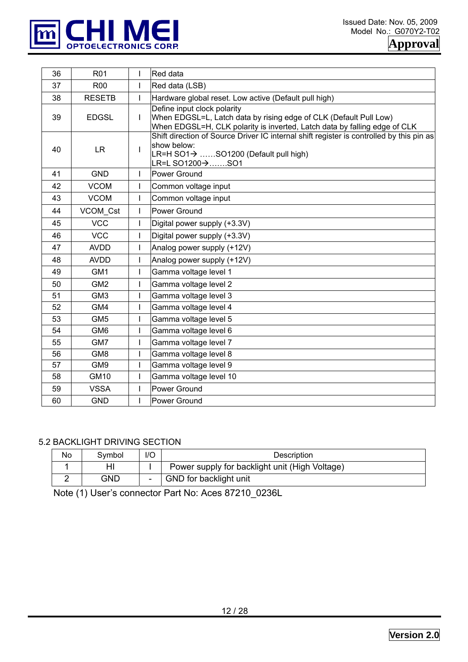

| 36 | <b>R01</b>      | ı | Red data                                                                                                                                                                      |
|----|-----------------|---|-------------------------------------------------------------------------------------------------------------------------------------------------------------------------------|
| 37 | <b>R00</b>      | T | Red data (LSB)                                                                                                                                                                |
| 38 | <b>RESETB</b>   | I | Hardware global reset. Low active (Default pull high)                                                                                                                         |
| 39 | <b>EDGSL</b>    | T | Define input clock polarity<br>When EDGSL=L, Latch data by rising edge of CLK (Default Pull Low)<br>When EDGSL=H, CLK polarity is inverted, Latch data by falling edge of CLK |
| 40 | <b>LR</b>       | I | Shift direction of Source Driver IC internal shift register is controlled by this pin as<br>show below:<br>LR=H SO1→ SO1200 (Default pull high)<br>LR=L SO1200→SO1            |
| 41 | <b>GND</b>      | ı | Power Ground                                                                                                                                                                  |
| 42 | <b>VCOM</b>     | I | Common voltage input                                                                                                                                                          |
| 43 | <b>VCOM</b>     | I | Common voltage input                                                                                                                                                          |
| 44 | VCOM Cst        | I | Power Ground                                                                                                                                                                  |
| 45 | <b>VCC</b>      | ı | Digital power supply (+3.3V)                                                                                                                                                  |
| 46 | <b>VCC</b>      | I | Digital power supply (+3.3V)                                                                                                                                                  |
| 47 | <b>AVDD</b>     | I | Analog power supply (+12V)                                                                                                                                                    |
| 48 | <b>AVDD</b>     | ı | Analog power supply (+12V)                                                                                                                                                    |
| 49 | GM1             | I | Gamma voltage level 1                                                                                                                                                         |
| 50 | GM <sub>2</sub> | I | Gamma voltage level 2                                                                                                                                                         |
| 51 | GM <sub>3</sub> |   | Gamma voltage level 3                                                                                                                                                         |
| 52 | GM4             | I | Gamma voltage level 4                                                                                                                                                         |
| 53 | GM <sub>5</sub> |   | Gamma voltage level 5                                                                                                                                                         |
| 54 | GM <sub>6</sub> | ı | Gamma voltage level 6                                                                                                                                                         |
| 55 | GM7             | I | Gamma voltage level 7                                                                                                                                                         |
| 56 | GM <sub>8</sub> |   | Gamma voltage level 8                                                                                                                                                         |
| 57 | GM9             | ı | Gamma voltage level 9                                                                                                                                                         |
| 58 | <b>GM10</b>     |   | Gamma voltage level 10                                                                                                                                                        |
| 59 | <b>VSSA</b>     |   | Power Ground                                                                                                                                                                  |
| 60 | <b>GND</b>      |   | Power Ground                                                                                                                                                                  |

#### 5.2 BACKLIGHT DRIVING SECTION

| No | Svmbol | I/O                      | Description                                    |
|----|--------|--------------------------|------------------------------------------------|
|    |        |                          | Power supply for backlight unit (High Voltage) |
|    | GND    | $\overline{\phantom{0}}$ | GND for backlight unit                         |

Note (1) User's connector Part No: Aces 87210\_0236L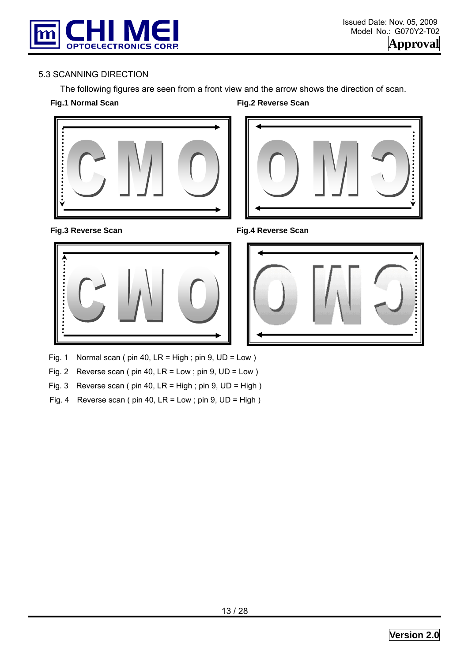

#### 5.3 SCANNING DIRECTION

The following figures are seen from a front view and the arrow shows the direction of scan.

#### **Fig.1 Normal Scan**  Fig.2 Reverse Scan







Fig.3 Reverse Scan **Fig.4 Reverse Scan** 



Fig. 1 Normal scan (  $pin 40$ ,  $LR = High$ ;  $pin 9$ ,  $UD = Low$  )

Fig. 2 Reverse scan ( pin 40, LR = Low ; pin 9, UD = Low )

Fig. 3 Reverse scan ( pin 40, LR = High ; pin 9, UD = High )

Fig. 4 Reverse scan (  $pin\ 40$ ,  $LR = Low$ ;  $pin\ 9$ ,  $UD = High$ )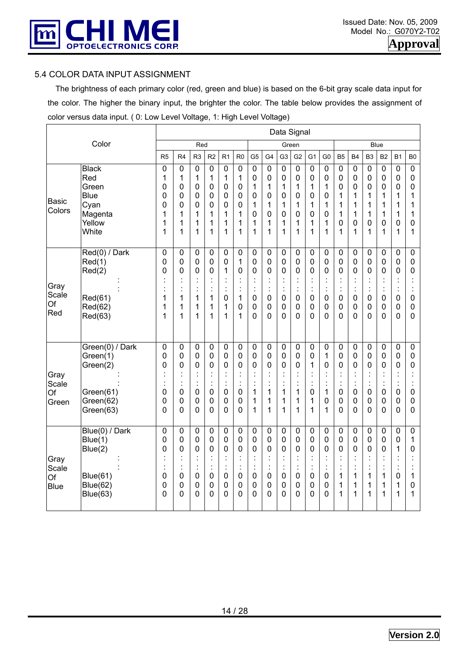

#### 5.4 COLOR DATA INPUT ASSIGNMENT

 The brightness of each primary color (red, green and blue) is based on the 6-bit gray scale data input for the color. The higher the binary input, the brighter the color. The table below provides the assignment of color versus data input. ( 0: Low Level Voltage, 1: High Level Voltage)

|                              |                                                                                        |                                                              |                                                                                          |                                                                                    |                                                                                                      |                                                                      |                                                                                                     |                                                                                                 |                                                                                                                      |                                                                       | Data Signal                                                                         |                                                                                                                     |                                                                     |                                                                                   |                                                                                                        |                                                                                                                  |                                                                |                                                                                                                |                                                                                    |
|------------------------------|----------------------------------------------------------------------------------------|--------------------------------------------------------------|------------------------------------------------------------------------------------------|------------------------------------------------------------------------------------|------------------------------------------------------------------------------------------------------|----------------------------------------------------------------------|-----------------------------------------------------------------------------------------------------|-------------------------------------------------------------------------------------------------|----------------------------------------------------------------------------------------------------------------------|-----------------------------------------------------------------------|-------------------------------------------------------------------------------------|---------------------------------------------------------------------------------------------------------------------|---------------------------------------------------------------------|-----------------------------------------------------------------------------------|--------------------------------------------------------------------------------------------------------|------------------------------------------------------------------------------------------------------------------|----------------------------------------------------------------|----------------------------------------------------------------------------------------------------------------|------------------------------------------------------------------------------------|
|                              | Color                                                                                  |                                                              |                                                                                          | Red                                                                                |                                                                                                      |                                                                      |                                                                                                     |                                                                                                 |                                                                                                                      |                                                                       | Green                                                                               |                                                                                                                     |                                                                     |                                                                                   |                                                                                                        |                                                                                                                  | <b>Blue</b>                                                    |                                                                                                                |                                                                                    |
|                              |                                                                                        | R <sub>5</sub>                                               | R <sub>4</sub>                                                                           | R <sub>3</sub>                                                                     | R <sub>2</sub>                                                                                       | R <sub>1</sub>                                                       | R <sub>0</sub>                                                                                      | G <sub>5</sub>                                                                                  | G4                                                                                                                   | G <sub>3</sub>                                                        | G <sub>2</sub>                                                                      | G <sub>1</sub>                                                                                                      | G <sub>0</sub>                                                      | <b>B5</b>                                                                         | <b>B4</b>                                                                                              | B <sub>3</sub>                                                                                                   | B <sub>2</sub>                                                 | <b>B1</b>                                                                                                      | B <sub>0</sub>                                                                     |
| <b>Basic</b><br>Colors       | <b>Black</b><br>Red<br>Green<br><b>Blue</b><br>Cyan<br>Magenta<br>Yellow<br>White      | $\overline{0}$<br>1<br>0<br>0<br>0<br>1<br>1<br>1            | $\mathbf 0$<br>1<br>0<br>$\mathbf 0$<br>0<br>1<br>1<br>1                                 | $\mathbf 0$<br>1<br>0<br>$\pmb{0}$<br>0<br>1<br>1<br>1                             | $\overline{0}$<br>1<br>0<br>$\mathbf 0$<br>$\mathbf 0$<br>1<br>1<br>1                                | $\overline{0}$<br>1<br>0<br>0<br>0<br>1<br>1<br>1                    | $\mathbf 0$<br>1<br>$\mathbf 0$<br>0<br>$\mathbf 0$<br>1<br>1<br>1                                  | $\mathbf 0$<br>$\mathbf 0$<br>1<br>$\mathbf 0$<br>1<br>0<br>1<br>1                              | $\mathbf 0$<br>$\mathbf 0$<br>1<br>$\mathbf 0$<br>1<br>$\mathbf 0$<br>1<br>1                                         | $\mathbf 0$<br>$\mathbf 0$<br>1<br>0<br>1<br>0<br>1<br>1              | $\mathbf 0$<br>0<br>1<br>$\mathbf 0$<br>1<br>$\mathbf 0$<br>1<br>1                  | $\overline{0}$<br>$\mathbf 0$<br>1<br>0<br>1<br>0<br>1<br>1                                                         | $\overline{0}$<br>0<br>1<br>0<br>1<br>0<br>1<br>1                   | $\mathbf 0$<br>$\mathbf 0$<br>0<br>1<br>1<br>1<br>0<br>1                          | $\mathbf 0$<br>$\mathbf 0$<br>0<br>1<br>1<br>1<br>0<br>1                                               | $\mathbf 0$<br>0<br>$\mathbf 0$<br>1<br>1<br>1<br>$\mathbf 0$<br>1                                               | 0<br>0<br>0<br>1<br>1<br>1<br>0<br>1                           | $\mathbf 0$<br>$\mathbf 0$<br>$\mathbf 0$<br>1<br>1<br>1<br>$\mathbf 0$<br>1                                   | $\mathbf 0$<br>$\mathbf 0$<br>0<br>1<br>1<br>1<br>0<br>1                           |
| Gray<br>Scale<br>Of<br>Red   | Red(0) / Dark<br>Red(1)<br>Red(2)<br>Red(61)<br>Red(62)<br>Red(63)                     | $\mathbf 0$<br>0<br>0<br>1<br>1<br>1                         | $\mathbf 0$<br>$\mathbf 0$<br>0<br>$\ddot{\phantom{a}}$<br>$\ddot{\cdot}$<br>1<br>1<br>1 | $\mathbf 0$<br>0<br>$\mathbf 0$<br>$\ddot{\phantom{a}}$<br>$\vdots$<br>1<br>1<br>1 | $\mathbf 0$<br>$\mathbf 0$<br>$\mathbf 0$<br>$\ddot{\cdot}$<br>$\ddot{\cdot}$<br>1<br>1<br>1         | 0<br>0<br>1<br>$\blacksquare$<br>t<br>0<br>1<br>1                    | $\mathbf 0$<br>$\mathbf{1}$<br>$\mathbf 0$<br>$\ddot{\cdot}$<br>1<br>$\mathbf 0$<br>1               | $\mathbf 0$<br>$\mathbf 0$<br>0<br>$\ddot{\cdot}$<br>$\ddot{\cdot}$<br>$\mathbf 0$<br>0<br>0    | $\pmb{0}$<br>$\mathbf 0$<br>$\mathbf 0$<br>$\ddot{\phantom{a}}$<br>$\ddot{\cdot}$<br>$\mathbf 0$<br>$\mathbf 0$<br>0 | $\mathbf 0$<br>0<br>0<br>$\ddot{\cdot}$<br>t<br>0<br>$\mathbf 0$<br>0 | $\mathbf 0$<br>0<br>$\mathbf 0$<br>$\vdots$<br>İ<br>0<br>$\mathbf 0$<br>$\mathbf 0$ | $\mathbf 0$<br>$\mathbf 0$<br>$\overline{0}$<br>İ<br>$\ddot{\cdot}$<br>$\mathbf 0$<br>$\mathbf 0$<br>$\overline{0}$ | 0<br>0<br>0<br>$\ddot{\cdot}$<br>0<br>0<br>$\Omega$                 | 0<br>0<br>$\mathbf 0$<br>$\ddot{\cdot}$<br>$\mathbf 0$<br>$\mathbf 0$<br>$\Omega$ | $\mathbf 0$<br>$\mathbf 0$<br>0<br>$\overline{\phantom{a}}$<br>$\ddot{\cdot}$<br>0<br>$\mathbf 0$<br>0 | $\mathbf 0$<br>$\mathbf 0$<br>$\mathbf 0$<br>Ì<br>$\ddot{\cdot}$<br>$\mathbf 0$<br>$\mathbf 0$<br>$\overline{0}$ | 0<br>0<br>0<br>$\ddot{\cdot}$<br>0<br>0<br>0                   | $\mathbf 0$<br>$\mathbf 0$<br>$\overline{0}$<br>Ì,<br>$\ddot{\cdot}$<br>$\mathbf 0$<br>$\mathbf 0$<br>$\Omega$ | 0<br>0<br>0<br>$\ddot{\cdot}$<br>$\ddot{\phantom{a}}$<br>0<br>$\pmb{0}$<br>0       |
| Gray<br>Scale<br>Of<br>Green | Green(0) / Dark<br>Green(1)<br>Green(2)<br>Green(61)<br>Green(62)<br>Green(63)         | $\mathbf 0$<br>0<br>0<br>$\ddot{\phantom{0}}$<br>0<br>0<br>0 | $\mathbf 0$<br>$\mathbf 0$<br>0<br>$\ddot{\cdot}$<br>$\mathbf 0$<br>0<br>$\overline{0}$  | 0<br>$\pmb{0}$<br>0<br>İ<br>ł,<br>$\pmb{0}$<br>0<br>$\mathbf 0$                    | $\mathbf 0$<br>$\pmb{0}$<br>$\mathbf 0$<br>÷,<br>$\mathbf 0$<br>$\overline{0}$<br>$\mathbf 0$        | 0<br>$\mathsf{O}\xspace$<br>0<br>÷,<br>$\mathsf{O}\xspace$<br>0<br>0 | $\pmb{0}$<br>$\pmb{0}$<br>$\mathbf 0$<br>ċ<br>$\mathbf 0$<br>$\mathbf 0$<br>0                       | $\mathbf 0$<br>$\pmb{0}$<br>0<br>$\ddot{\cdot}$<br>$\ddot{\cdot}$<br>1<br>1<br>1                | $\mathbf 0$<br>$\pmb{0}$<br>$\mathbf 0$<br>t<br>1<br>1<br>1                                                          | $\mathbf 0$<br>$\pmb{0}$<br>0<br>ċ<br>1<br>1<br>1                     | 0<br>0<br>$\mathbf 0$<br>$\ddot{\phantom{a}}$<br>$\vdots$<br>1<br>1<br>1            | 0<br>$\pmb{0}$<br>$\mathbf{1}$<br>$\vdots$<br>$\ddot{\cdot}$<br>$\mathbf 0$<br>1<br>1                               | 0<br>1<br>0<br>$\ddot{\cdot}$<br>1<br>0<br>1                        | $\mathbf 0$<br>0<br>0<br>$\ddot{\cdot}$<br>$\mathbf 0$<br>0<br>0                  | $\mathbf 0$<br>$\mathbf 0$<br>0<br>$\ddot{\cdot}$<br>$\mathbf 0$<br>0<br>$\overline{0}$                | $\mathbf 0$<br>$\pmb{0}$<br>$\mathbf 0$<br>t<br>$\ddot{\cdot}$<br>$\pmb{0}$<br>$\mathbf 0$<br>$\overline{0}$     | 0<br>0<br>0<br>$\ddot{\cdot}$<br>0<br>0<br>0                   | $\pmb{0}$<br>$\pmb{0}$<br>$\mathbf 0$<br>İ<br>$\ddot{\phantom{a}}$<br>$\mathbf 0$<br>$\pmb{0}$<br>$\mathbf 0$  | $\mathbf 0$<br>0<br>0<br>$\ddot{\cdot}$<br>$\ddot{\cdot}$<br>$\mathbf 0$<br>0<br>0 |
| Gray<br>Scale<br>Of<br>Blue  | Blue(0) / Dark<br>Blue(1)<br>Blue(2)<br><b>Blue(61)</b><br>Blue(62)<br><b>Blue(63)</b> | $\mathbf 0$<br>0<br>0<br>0<br>0<br>0                         | $\mathbf 0$<br>$\mathbf 0$<br>0<br>$\ddot{\cdot}$<br>$\ddot{\cdot}$<br>0<br>0<br>0       | $\mathbf 0$<br>0<br>0<br>$\vdots$<br>$\ddot{\cdot}$<br>$\pmb{0}$<br>0<br>0         | $\mathbf 0$<br>$\mathbf 0$<br>$\mathbf 0$<br>$\ddot{\cdot}$<br>÷,<br>$\mathbf 0$<br>$\mathbf 0$<br>0 | 0<br>0<br>0<br>×.<br>÷.<br>0<br>0<br>0                               | $\mathbf 0$<br>$\mathbf 0$<br>$\mathbf 0$<br>$\ddot{\cdot}$<br>ċ<br>$\mathbf 0$<br>$\mathbf 0$<br>0 | $\mathbf 0$<br>0<br>$\overline{0}$<br>$\ddot{\cdot}$<br>$\ddot{\cdot}$<br>$\mathbf 0$<br>0<br>0 | $\mathbf 0$<br>$\mathbf 0$<br>$\overline{0}$<br>Ì<br>$\mathbf 0$<br>$\mathbf 0$<br>0                                 | $\mathbf 0$<br>0<br>0<br>$\ddot{\cdot}$<br>÷<br>0<br>0<br>0           | $\mathbf 0$<br>0<br>0<br>$\ddot{\cdot}$<br>$\ddot{\cdot}$<br>$\pmb{0}$<br>0<br>0    | $\mathbf 0$<br>0<br>$\overline{0}$<br>$\ddot{\cdot}$<br>$\ddot{\cdot}$<br>$\mathbf 0$<br>0<br>0                     | $\mathsf{O}\xspace$<br>0<br>0<br>$\blacksquare$<br>t<br>0<br>0<br>0 | $\mathbf 0$<br>$\mathbf 0$<br>0<br>$\ddot{\phantom{a}}$<br>1<br>1<br>1            | $\mathbf 0$<br>$\mathbf 0$<br>0<br>$\ddot{\cdot}$<br>÷,<br>1<br>1<br>1                                 | $\mathbf 0$<br>$\mathbf 0$<br>$\overline{0}$<br>$\ddot{\cdot}$<br>ċ<br>1<br>1<br>1                               | 0<br>0<br>0<br>$\ddot{\cdot}$<br>$\ddot{\cdot}$<br>1<br>1<br>1 | $\mathbf 0$<br>$\pmb{0}$<br>1<br>$\vdots$<br>$\ddot{\cdot}$<br>$\pmb{0}$<br>1<br>1                             | 0<br>1<br>0<br>ä,<br>÷,<br>1<br>0<br>1                                             |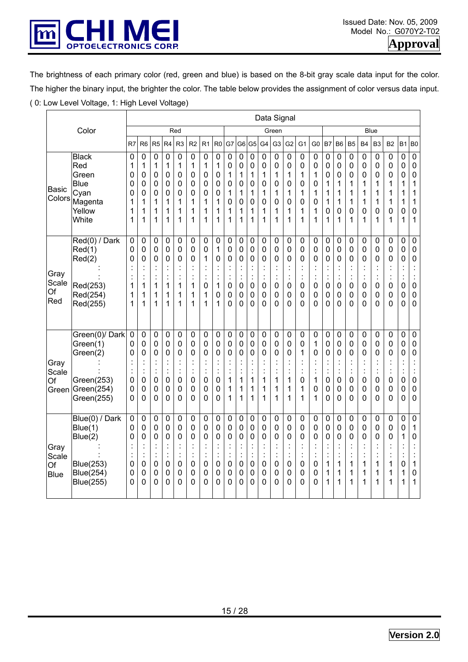

The brightness of each primary color (red, green and blue) is based on the 8-bit gray scale data input for the color. The higher the binary input, the brighter the color. The table below provides the assignment of color versus data input. ( 0: Low Level Voltage, 1: High Level Voltage)

|                                    |                                                                                    |                                                                |                                                                    |                                                                                                          |                                                                                    |                                              |                                                                    |                                                                                  |                                                          |                                                                             |                                                                                                                |                                                                                        |                                                                                                       |                                                                                                    | Data Signal                                                                                  |                                                                                |                                              |                                                                                                                                      |                                                                                                          |                                                                |                                                                                        |                                                                                                                                     |                                                        |                                                                                        |                                                                                                                                  |
|------------------------------------|------------------------------------------------------------------------------------|----------------------------------------------------------------|--------------------------------------------------------------------|----------------------------------------------------------------------------------------------------------|------------------------------------------------------------------------------------|----------------------------------------------|--------------------------------------------------------------------|----------------------------------------------------------------------------------|----------------------------------------------------------|-----------------------------------------------------------------------------|----------------------------------------------------------------------------------------------------------------|----------------------------------------------------------------------------------------|-------------------------------------------------------------------------------------------------------|----------------------------------------------------------------------------------------------------|----------------------------------------------------------------------------------------------|--------------------------------------------------------------------------------|----------------------------------------------|--------------------------------------------------------------------------------------------------------------------------------------|----------------------------------------------------------------------------------------------------------|----------------------------------------------------------------|----------------------------------------------------------------------------------------|-------------------------------------------------------------------------------------------------------------------------------------|--------------------------------------------------------|----------------------------------------------------------------------------------------|----------------------------------------------------------------------------------------------------------------------------------|
|                                    | Color                                                                              |                                                                |                                                                    |                                                                                                          |                                                                                    | Red                                          |                                                                    |                                                                                  |                                                          |                                                                             |                                                                                                                |                                                                                        |                                                                                                       | Green                                                                                              |                                                                                              |                                                                                |                                              |                                                                                                                                      |                                                                                                          |                                                                |                                                                                        | <b>Blue</b>                                                                                                                         |                                                        |                                                                                        |                                                                                                                                  |
|                                    |                                                                                    | R7                                                             | R <sub>6</sub>                                                     | R <sub>5</sub>                                                                                           | R4                                                                                 | R <sub>3</sub>                               | R <sub>2</sub>                                                     | R <sub>1</sub>                                                                   | R <sub>0</sub>                                           | G7                                                                          | G <sub>6</sub>                                                                                                 | G5                                                                                     | G4                                                                                                    | G <sub>3</sub>                                                                                     | G <sub>2</sub>                                                                               | G <sub>1</sub>                                                                 | G <sub>0</sub>                               | <b>B7</b>                                                                                                                            | B <sub>6</sub>                                                                                           | B <sub>5</sub>                                                 | <b>B4</b>                                                                              | B <sub>3</sub>                                                                                                                      | <b>B2</b>                                              | <b>B1</b>                                                                              | B <sub>0</sub>                                                                                                                   |
| <b>Basic</b><br>Colors             | <b>Black</b><br>Red<br>Green<br>Blue<br>Cyan<br>Magenta<br>Yellow<br>White         | 0<br>1<br>0<br>0<br>0<br>1<br>1<br>1                           | $\mathbf 0$<br>1<br>$\mathbf 0$<br>$\mathbf 0$<br>0<br>1<br>1<br>1 | $\mathbf 0$<br>1<br>$\mathbf 0$<br>0<br>$\mathbf 0$<br>1<br>1<br>1                                       | $\mathbf 0$<br>1<br>$\mathbf 0$<br>0<br>0<br>1<br>1<br>1                           | 0<br>1<br>0<br>0<br>0<br>1<br>1<br>1         | 0<br>1<br>0<br>0<br>0<br>1<br>1<br>1                               | $\mathsf{O}\xspace$<br>1<br>$\mathsf{O}\xspace$<br>0<br>0<br>1<br>1<br>1         | 0<br>1<br>0<br>0<br>0<br>1<br>1<br>1                     | 0<br>0<br>1<br>0<br>1<br>0<br>1<br>1                                        | $\mathbf 0$<br>0<br>$\mathbf 1$<br>$\mathbf 0$<br>1<br>$\mathbf 0$<br>1<br>1                                   | 0<br>0<br>1<br>0<br>1<br>0<br>1<br>1                                                   | $\mathbf 0$<br>0<br>1<br>$\mathbf 0$<br>1<br>0<br>1<br>1                                              | $\pmb{0}$<br>0<br>1<br>0<br>1<br>0<br>1<br>1                                                       | $\mathbf 0$<br>0<br>1<br>0<br>1<br>0<br>1<br>1                                               | $\mathbf 0$<br>0<br>1<br>0<br>1<br>0<br>1<br>1                                 | 0<br>0<br>1<br>0<br>1<br>0<br>1<br>1         | 0<br>0<br>$\mathbf 0$<br>1<br>1<br>1<br>$\mathbf 0$<br>1                                                                             | $\mathbf 0$<br>0<br>$\mathbf 0$<br>1<br>$\mathbf 1$<br>1<br>$\mathbf 0$<br>1                             | 0<br>0<br>0<br>1<br>1<br>1<br>0<br>1                           | $\pmb{0}$<br>$\mathbf 0$<br>$\mathbf 0$<br>1<br>1<br>1<br>0<br>1                       | $\mathbf 0$<br>0<br>$\mathbf 0$<br>1<br>1<br>1<br>$\mathbf 0$<br>1                                                                  | $\mathbf 0$<br>0<br>0<br>1<br>1<br>1<br>0<br>1         | 0<br>0<br>$\pmb{0}$<br>1<br>1<br>1<br>$\pmb{0}$<br>1                                   | $\pmb{0}$<br>$\mathsf{O}\xspace$<br>$\mathbf 0$<br>$\mathbf{1}$<br>$\mathbf 1$<br>1<br>$\pmb{0}$<br>1                            |
| Gray<br>Scale<br>Of<br>Red         | Red(0) / Dark<br>Red(1)<br>Red(2)<br>Red(253)<br>Red(254)<br>Red(255)              | 0<br>0<br>0<br>$\ddot{\cdot}$<br>$\ddot{\cdot}$<br>1<br>1<br>1 | $\mathbf 0$<br>0<br>0<br>$\ddot{\phantom{0}}$<br>1<br>1<br>1       | $\mathbf 0$<br>$\mathbf 0$<br>0<br>$\ddot{\cdot}$<br>1<br>1<br>1                                         | $\mathbf 0$<br>0<br>0<br>$\ddot{\cdot}$<br>$\ddot{\cdot}$<br>1<br>1<br>1           | 0<br>0<br>0<br>$\ddot{\cdot}$<br>1<br>1<br>1 | 0<br>$\mathbf 0$<br>0<br>$\ddot{\cdot}$<br>$\vdots$<br>1<br>1<br>1 | 0<br>0<br>1<br>$\ddot{\cdot}$<br>$\ddot{\cdot}$<br>$\mathsf{O}\xspace$<br>1<br>1 | 0<br>1<br>0<br>$\ddot{\cdot}$<br>$\vdots$<br>1<br>0<br>1 | $\mathbf 0$<br>0<br>0<br>$\ddot{\cdot}$<br>$\pmb{0}$<br>0<br>$\overline{0}$ | $\overline{0}$<br>$\mathbf 0$<br>$\mathbf 0$<br>$\ddot{\cdot}$<br>$\mathbf 0$<br>$\mathbf 0$<br>$\overline{0}$ | 0<br>0<br>0<br>$\ddot{\cdot}$<br>$\ddot{\cdot}$<br>$\pmb{0}$<br>0<br>0                 | $\mathbf 0$<br>$\mathbf 0$<br>$\mathbf 0$<br>$\vdots$<br>$\mathbf 0$<br>$\mathbf 0$<br>$\overline{0}$ | $\mathbf 0$<br>$\pmb{0}$<br>0<br>İ<br>$\ddot{\cdot}$<br>$\pmb{0}$<br>0<br>$\mathbf 0$              | $\mathbf 0$<br>$\mathbf 0$<br>0<br>$\ddot{\cdot}$<br>$\mathbf 0$<br>0<br>0                   | 0<br>$\mathbf 0$<br>0<br>$\ddot{\phantom{a}}$<br>ł,<br>$\mathbf 0$<br>0<br>0   | 0<br>0<br>0<br>Ì<br>0<br>0<br>0              | $\mathbf 0$<br>$\mathbf 0$<br>$\mathbf 0$<br>$\ddot{\cdot}$<br>$\frac{1}{2}$<br>$\pmb{0}$<br>0<br>$\overline{0}$                     | $\mathbf 0$<br>$\mathbf 0$<br>0<br>$\ddot{\cdot}$<br>$\mathbf 0$<br>0<br>$\overline{0}$                  | 0<br>0<br>0<br>$\ddot{\cdot}$<br>$\ddot{\cdot}$<br>0<br>0<br>0 | $\mathbf 0$<br>$\pmb{0}$<br>0<br>$\vdots$<br>$\pmb{0}$<br>$\mathbf 0$<br>0             | 0<br>$\mathbf 0$<br>0<br>$\ddot{\cdot}$<br>$\ddot{\phantom{a}}$<br>$\pmb{0}$<br>0<br>$\overline{0}$                                 | 0<br>0<br>0<br>ċ<br>$\pmb{0}$<br>0<br>0                | 0<br>$\pmb{0}$<br>0<br>$\ddot{\cdot}$<br>$\ddot{\phantom{a}}$<br>0<br>0<br>$\mathbf 0$ | $\overline{0}$<br>$\pmb{0}$<br>$\pmb{0}$<br>$\ddot{\cdot}$<br>$\ddot{\cdot}$<br>$\pmb{0}$<br>$\pmb{0}$<br>0                      |
| Gray<br>Scale<br>Of<br>Green       | Green(0)/Dark<br>Green(1)<br>Green(2)<br>Green(253)<br>Green(254)<br>Green(255)    | 0<br>0<br>0<br>$\ddot{\cdot}$<br>$\mathbf 0$<br>0<br>0         | 0<br>0<br>0<br>$\mathbf 0$<br>0<br>0                               | $\mathbf 0$<br>$\mathbf 0$<br>$\mathbf 0$<br>$\ddot{\cdot}$<br>$\mathbf 0$<br>$\mathbf 0$<br>$\mathbf 0$ | $\mathbf 0$<br>0<br>0<br>$\ddot{\phantom{a}}$<br>$\mathbf 0$<br>0<br>0             | $\pmb{0}$<br>0<br>0<br>$\mathbf 0$<br>0<br>0 | 0<br>0<br>0<br>$\ddot{\cdot}$<br>$\overline{0}$<br>0<br>$\Omega$   | 0<br>0<br>0<br>İ<br>$\mathbf 0$<br>0<br>0                                        | 0<br>0<br>0<br>$\dot{\phantom{a}}$<br>0<br>0<br>0        | 0<br>0<br>0<br>$\ddot{\cdot}$<br>1<br>1<br>1                                | $\pmb{0}$<br>$\mathbf 0$<br>$\mathbf 0$<br>$\ddot{\cdot}$<br>1<br>1<br>1                                       | $\mathbf 0$<br>$\mathbf 0$<br>0<br>$\vdots$<br>$\ddot{\cdot}$<br>$\mathbf 1$<br>1<br>1 | $\mathbf 0$<br>$\mathbf 0$<br>$\mathbf 0$<br>$\ddot{\cdot}$<br>1<br>1<br>1                            | $\pmb{0}$<br>$\pmb{0}$<br>$\mathbf 0$<br>$\ddot{\cdot}$<br>$\ddot{\cdot}$<br>1<br>1<br>1           | $\mathbf 0$<br>$\mathbf 0$<br>$\mathbf 0$<br>$\ddot{\cdot}$<br>$\ddot{\cdot}$<br>1<br>1<br>1 | 0<br>0<br>1<br>$\ddot{\phantom{a}}$<br>$\ddot{\cdot}$<br>0<br>1<br>1           | 0<br>1<br>0<br>$\ddot{\cdot}$<br>1<br>0<br>1 | $\mathbf 0$<br>$\mathbf 0$<br>$\mathbf 0$<br>$\ddot{\cdot}$<br>$\overline{\phantom{a}}$<br>$\mathbf 0$<br>$\mathbf 0$<br>$\mathbf 0$ | $\mathbf 0$<br>$\mathbf 0$<br>$\mathbf 0$<br>$\ddot{\cdot}$<br>$\mathbf 0$<br>$\mathbf 0$<br>$\mathbf 0$ | 0<br>0<br>0<br>$\ddot{\cdot}$<br>0<br>0<br>0                   | $\mathbf 0$<br>$\pmb{0}$<br>$\mathbf 0$<br>$\vdots$<br>$\mathbf 0$<br>$\mathbf 0$<br>0 | $\mathbf 0$<br>$\mathbf 0$<br>$\mathbf 0$<br>$\ddot{\phantom{a}}$<br>$\ddot{\cdot}$<br>$\mathbf 0$<br>$\mathbf 0$<br>$\overline{0}$ | $\pmb{0}$<br>0<br>$\mathbf 0$<br>$\mathbf 0$<br>0<br>0 | 0<br>$\pmb{0}$<br>$\pmb{0}$<br>$\vdots$<br>$\ddot{\cdot}$<br>$\mathbf 0$<br>0<br>0     | $\pmb{0}$<br>$\pmb{0}$<br>$\mathsf{O}\xspace$<br>$\ddot{\cdot}$<br>$\ddot{\phantom{a}}$<br>$\mathbf 0$<br>$\pmb{0}$<br>$\pmb{0}$ |
| Gray<br>Scale<br>Of<br><b>Blue</b> | Blue(0) / Dark<br>Blue(1)<br>Blue(2)<br><b>Blue(253)</b><br>Blue(254)<br>Blue(255) | 0<br>0<br>0<br>$\ddot{\cdot}$<br>0<br>0<br>0                   | $\mathbf 0$<br>0<br>0<br>$\mathbf 0$<br>0<br>0                     | $\mathbf 0$<br>0<br>$\mathbf 0$<br>Ì.<br>$\mathbf 0$<br>$\mathbf 0$<br>0                                 | $\mathbf 0$<br>0<br>$\mathbf 0$<br>$\ddot{\cdot}$<br>$\pmb{0}$<br>$\mathbf 0$<br>0 | 0<br>0<br>0<br>$\pmb{0}$<br>0<br>0           | 0<br>0<br>0<br>$\ddot{\phantom{a}}$<br>0<br>0<br>0                 | $\mathsf{O}\xspace$<br>0<br>0<br>$\ddot{\cdot}$<br>$\mathsf{O}\xspace$<br>0<br>0 | 0<br>0<br>0<br>$\ddot{\cdot}$<br>0<br>0<br>0             | 0<br>0<br>0<br>$\ddot{\cdot}$<br>$\mathbf 0$<br>0<br>0                      | $\mathbf 0$<br>0<br>$\mathbf 0$<br>$\mathbf 0$<br>$\mathbf 0$<br>0                                             | 0<br>0<br>0<br>$\ddot{\cdot}$<br>$\ddot{\cdot}$<br>0<br>$\mathbf 0$<br>0               | $\mathbf 0$<br>$\mathbf 0$<br>$\mathbf 0$<br>$\ddot{\cdot}$<br>$\mathbf 0$<br>$\mathbf 0$<br>0        | $\pmb{0}$<br>0<br>$\mathbf 0$<br>$\ddot{\cdot}$<br>$\ddot{\cdot}$<br>$\pmb{0}$<br>$\mathbf 0$<br>0 | $\mathbf 0$<br>$\mathbf 0$<br>0<br>t<br>$\mathbf 0$<br>0<br>0                                | 0<br>0<br>0<br>$\ddot{\cdot}$<br>ł,<br>$\mathsf{O}\xspace$<br>$\mathbf 0$<br>0 | 0<br>0<br>0<br>0<br>0<br>0                   | 0<br>$\mathbf 0$<br>$\mathbf 0$<br>$\ddot{\phantom{a}}$<br>$\ddot{\cdot}$<br>1<br>1<br>1                                             | $\mathbf 0$<br>$\mathbf 0$<br>$\mathbf 0$<br>$\ddot{\phantom{a}}$<br>$\ddot{\cdot}$<br>1<br>1<br>1       | 0<br>0<br>0<br>$\vdots$<br>Ì.<br>1<br>1<br>1                   | $\mathbf 0$<br>0<br>0<br>$\vdots$<br>1<br>1<br>1                                       | $\mathbf 0$<br>0<br>$\mathbf 0$<br>$\ddot{\cdot}$<br>$\ddot{\cdot}$<br>1<br>1<br>1                                                  | 0<br>0<br>0<br>1<br>1<br>1                             | $\pmb{0}$<br>0<br>1<br>$\cdot$<br>$\blacksquare$<br>$\vdots$<br>0<br>1<br>1            | $\pmb{0}$<br>1<br>$\mathbf 0$<br>$\ddot{\cdot}$<br>$\ddot{\cdot}$<br>$\mathbf 1$<br>0<br>1                                       |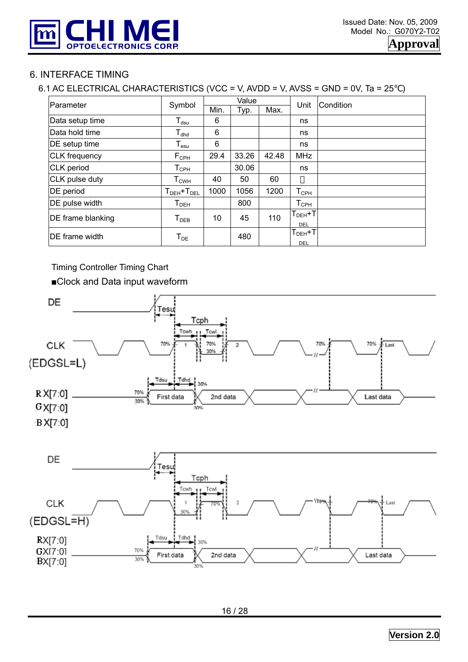

# 6. INTERFACE TIMING

# 6.1 AC ELECTRICAL CHARACTERISTICS (VCC = V, AVDD = V, AVSS = GND = 0V, Ta = 25 )

| Parameter             | Symbol                                    |      | Value |       | Unit                          | Condition |
|-----------------------|-------------------------------------------|------|-------|-------|-------------------------------|-----------|
|                       |                                           | Min. | Typ.  | Max.  |                               |           |
| Data setup time       | $T_{dsu}$                                 | 6    |       |       | ns                            |           |
| Data hold time        | $\mathsf{T}_{\mathsf{dhd}}$               | 6    |       |       | ns                            |           |
| DE setup time         | $\mathsf{T}_{\mathsf{esu}}$               | 6    |       |       | ns                            |           |
| <b>CLK</b> frequency  | $F_{\text{CPH}}$                          | 29.4 | 33.26 | 42.48 | <b>MHz</b>                    |           |
| CLK period            | ${\mathsf T}_{\mathsf{CPH}}$              |      | 30.06 |       | ns                            |           |
| CLK pulse duty        | ${\sf T}_{\sf CWH}$                       | 40   | 50    | 60    |                               |           |
| DE period             | ${\sf T}_{\sf DEH}$ + ${\sf T}_{\sf DEL}$ | 1000 | 1056  | 1200  | ${\mathsf T}_{\texttt{CPH}}$  |           |
| DE pulse width        | $\mathsf{T}_{\mathsf{DEH}}$               |      | 800   |       | ${\sf T}_{\mathsf{CPH}}$      |           |
| DE frame blanking     | $\mathsf{T}_{\mathsf{DEB}}$               | 10   | 45    | 110   | ${\sf T}_{\sf DEH}$ +T<br>DEL |           |
| <b>DE</b> frame width | $\mathsf{T}_{\mathsf{DE}}$                |      | 480   |       | ${\sf T}_{\sf DEH}$ +T<br>DEL |           |

Timing Controller Timing Chart

■Clock and Data input waveform



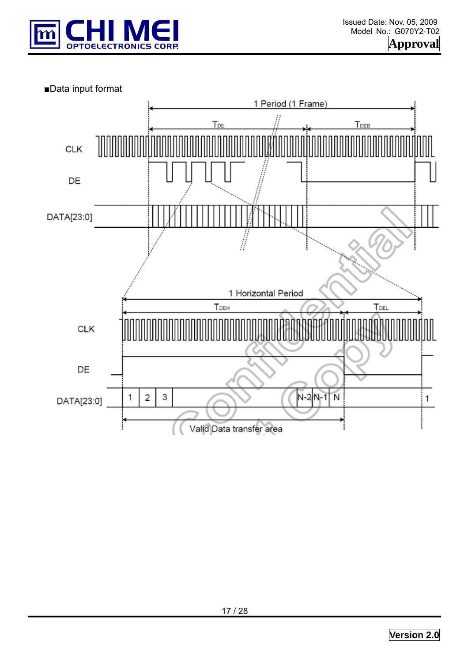

■Data input format

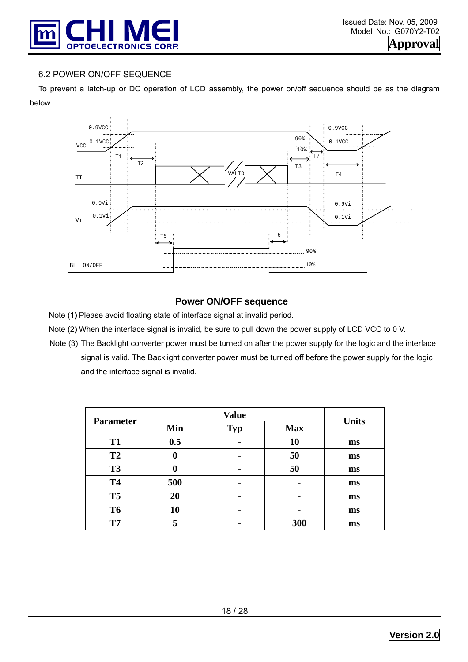![](_page_17_Picture_0.jpeg)

#### 6.2 POWER ON/OFF SEQUENCE

 To prevent a latch-up or DC operation of LCD assembly, the power on/off sequence should be as the diagram below.

![](_page_17_Figure_4.jpeg)

## **Power ON/OFF sequence**

Note (1) Please avoid floating state of interface signal at invalid period.

Note (2) When the interface signal is invalid, be sure to pull down the power supply of LCD VCC to 0 V.

Note (3) The Backlight converter power must be turned on after the power supply for the logic and the interface signal is valid. The Backlight converter power must be turned off before the power supply for the logic and the interface signal is invalid.

| <b>Parameter</b> |     | <b>Units</b>             |            |    |
|------------------|-----|--------------------------|------------|----|
|                  | Min | <b>Typ</b>               | <b>Max</b> |    |
| <b>T1</b>        | 0.5 |                          | 10         | ms |
| T <sub>2</sub>   | O   | -                        | 50         | ms |
| <b>T3</b>        | O   | $\overline{\phantom{0}}$ | 50         | ms |
| <b>T4</b>        | 500 | -                        |            | ms |
| <b>T5</b>        | 20  |                          |            | ms |
| <b>T6</b>        | 10  | $\overline{\phantom{0}}$ |            | ms |
| <b>T7</b>        | 5   |                          | 300        | ms |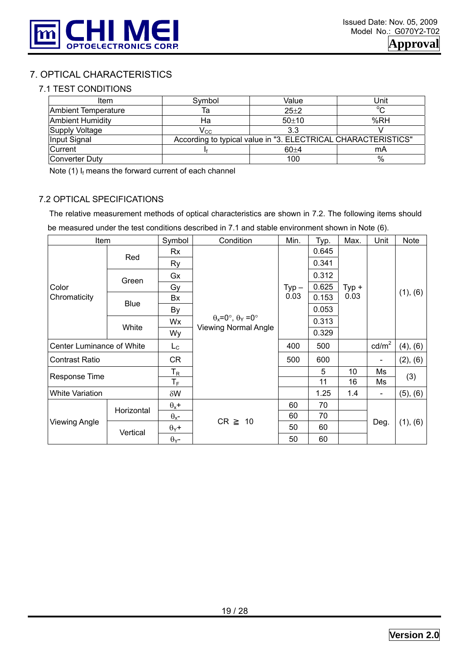![](_page_18_Picture_0.jpeg)

# 7. OPTICAL CHARACTERISTICS

#### 7.1 TEST CONDITIONS

| Item                       | Symbol | Value                                                         | Unit        |
|----------------------------|--------|---------------------------------------------------------------|-------------|
| <b>Ambient Temperature</b> | Та     | $25 + 2$                                                      | $^{\circ}C$ |
| <b>Ambient Humidity</b>    | На     | $50+10$                                                       | %RH         |
| Supply Voltage             | Vcc.   | 3.3                                                           |             |
| Input Signal               |        | According to typical value in "3. ELECTRICAL CHARACTERISTICS" |             |
| <b>Current</b>             |        | $60 + 4$                                                      | mA          |
| Converter Duty             |        | 100                                                           | %           |

Note (1)  $I_f$  means the forward current of each channel

#### 7.2 OPTICAL SPECIFICATIONS

The relative measurement methods of optical characteristics are shown in 7.2. The following items should be measured under the test conditions described in 7.1 and stable environment shown in Note (6).

| <b>Item</b>                      |             | Symbol                    | Condition                                   | Min.     | Typ.  | Max.    | Unit                     | Note     |  |
|----------------------------------|-------------|---------------------------|---------------------------------------------|----------|-------|---------|--------------------------|----------|--|
|                                  | Red         | Rx                        |                                             |          | 0.645 |         |                          |          |  |
|                                  |             | Ry                        |                                             |          | 0.341 |         | (1), (6)                 |          |  |
|                                  | Green       | Gx                        |                                             |          | 0.312 |         |                          |          |  |
| Color                            |             | Gy                        |                                             | $Type -$ | 0.625 | $Typ +$ |                          |          |  |
| Chromaticity                     | <b>Blue</b> | 0.03<br>0.153<br>Bx       | 0.03                                        |          |       |         |                          |          |  |
|                                  |             | By                        |                                             |          | 0.053 |         |                          |          |  |
|                                  |             | Wx                        | $\theta_x = 0^\circ$ , $\theta_y = 0^\circ$ |          | 0.313 |         |                          |          |  |
|                                  | White       | Wy                        | <b>Viewing Normal Angle</b>                 |          | 0.329 |         |                          |          |  |
| <b>Center Luminance of White</b> |             | $L_{\rm C}$               |                                             | 400      | 500   |         | $\text{cd/m}^2$          | (4), (6) |  |
| <b>Contrast Ratio</b>            |             | <b>CR</b>                 |                                             | 500      | 600   |         | $\overline{\phantom{a}}$ | (2), (6) |  |
| Response Time                    |             | $\mathsf{T}_{\mathsf{R}}$ |                                             |          | 5     | 10      | Ms                       |          |  |
|                                  |             | $T_F$                     |                                             |          | 11    | 16      | Ms                       | (3)      |  |
| <b>White Variation</b>           |             | $\delta W$                |                                             |          | 1.25  | 1.4     | $\overline{\phantom{a}}$ | (5), (6) |  |
|                                  | Horizontal  | $\theta_x$ +              |                                             | 60       | 70    |         |                          |          |  |
| <b>Viewing Angle</b>             |             | $\theta_{x}$ -            | <b>CR</b><br>10                             | 60       | 70    |         |                          |          |  |
|                                  | Vertical    | $\theta$ <sub>Y</sub> +   |                                             | 50       | 60    |         | Deg.                     | (1), (6) |  |
|                                  |             | $\theta$ <sub>Y</sub> -   |                                             | 50       | 60    |         |                          |          |  |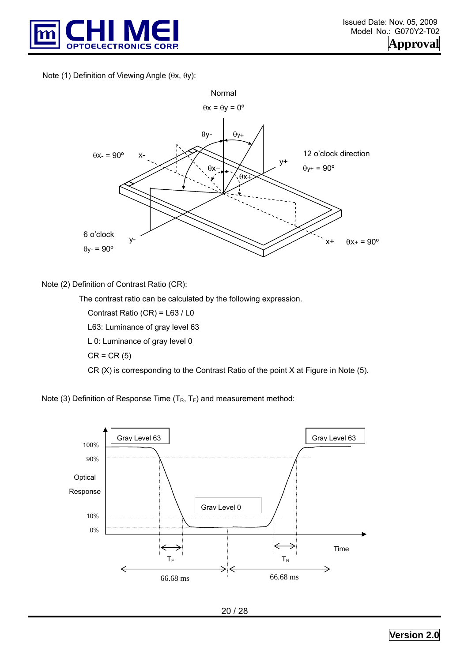![](_page_19_Picture_0.jpeg)

Note (1) Definition of Viewing Angle (θx, θy):

![](_page_19_Figure_3.jpeg)

#### Note (2) Definition of Contrast Ratio (CR):

The contrast ratio can be calculated by the following expression.

Contrast Ratio (CR) = L63 / L0

L63: Luminance of gray level 63

L 0: Luminance of gray level 0

 $CR = CR(5)$ 

CR (X) is corresponding to the Contrast Ratio of the point X at Figure in Note (5).

Note (3) Definition of Response Time  $(T_R, T_F)$  and measurement method:

![](_page_19_Figure_12.jpeg)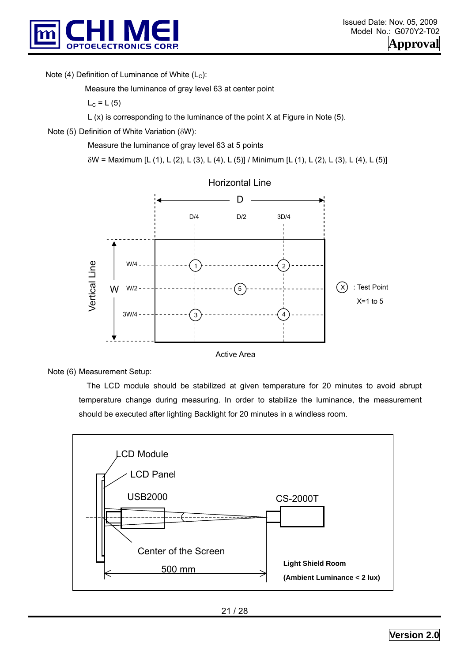![](_page_20_Picture_0.jpeg)

Note (4) Definition of Luminance of White  $(L<sub>C</sub>)$ :

Measure the luminance of gray level 63 at center point

 $L_c = L(5)$ 

L (x) is corresponding to the luminance of the point X at Figure in Note (5).

Note (5) Definition of White Variation (δW):

Measure the luminance of gray level 63 at 5 points

δW = Maximum [L (1), L (2), L (3), L (4), L (5)] / Minimum [L (1), L (2), L (3), L (4), L (5)]

![](_page_20_Figure_9.jpeg)

![](_page_20_Figure_10.jpeg)

#### Note (6) Measurement Setup:

 The LCD module should be stabilized at given temperature for 20 minutes to avoid abrupt temperature change during measuring. In order to stabilize the luminance, the measurement should be executed after lighting Backlight for 20 minutes in a windless room.

![](_page_20_Figure_13.jpeg)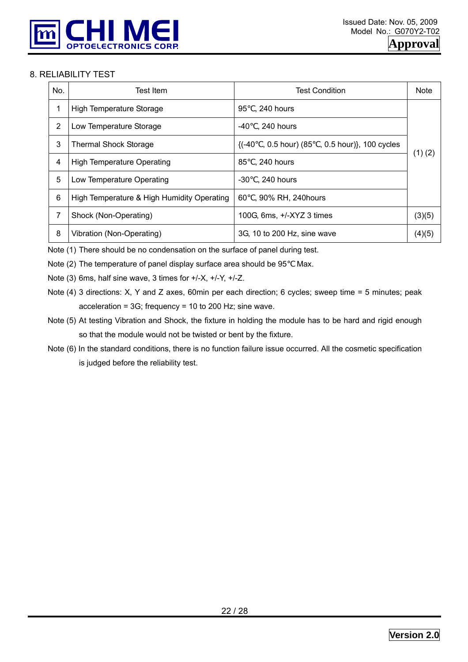![](_page_21_Picture_0.jpeg)

#### 8. RELIABILITY TEST

| No.            | Test Item                                  | <b>Test Condition</b>                        | <b>Note</b> |
|----------------|--------------------------------------------|----------------------------------------------|-------------|
|                | High Temperature Storage                   | 95<br>, 240 hours                            |             |
| $\overline{2}$ | Low Temperature Storage                    | -40<br>. 240 hours                           |             |
| 3              | Thermal Shock Storage                      | {(-40, 0.5 hour) (85, 0.5 hour)}, 100 cycles |             |
| 4              | High Temperature Operating                 | $, 240$ hours<br>85                          | (1)(2)      |
| 5              | Low Temperature Operating                  | -30<br>. 240 hours                           |             |
| 6              | High Temperature & High Humidity Operating | 60<br>, 90% RH, 240hours                     |             |
| 7              | Shock (Non-Operating)                      | 100G, $6ms$ , $+/$ $XYZ$ 3 times             | (3)(5)      |
| 8              | Vibration (Non-Operating)                  | 3G, 10 to 200 Hz, sine wave                  | (4)(5)      |

Note (1) There should be no condensation on the surface of panel during test.

Note (2) The temperature of panel display surface area should be 95 Max.

Note (3) 6ms, half sine wave, 3 times for +/-X, +/-Y, +/-Z.

Note (4) 3 directions: X, Y and Z axes, 60min per each direction; 6 cycles; sweep time = 5 minutes; peak acceleration = 3G; frequency = 10 to 200 Hz; sine wave.

- Note (5) At testing Vibration and Shock, the fixture in holding the module has to be hard and rigid enough so that the module would not be twisted or bent by the fixture.
- Note (6) In the standard conditions, there is no function failure issue occurred. All the cosmetic specification is judged before the reliability test.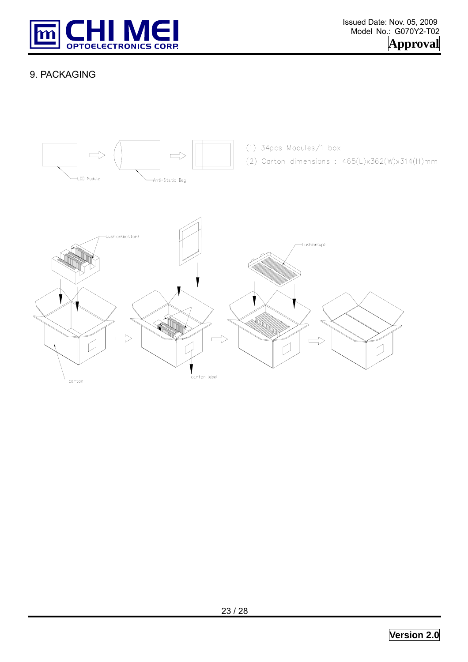![](_page_22_Picture_0.jpeg)

# 9. PACKAGING

![](_page_22_Figure_3.jpeg)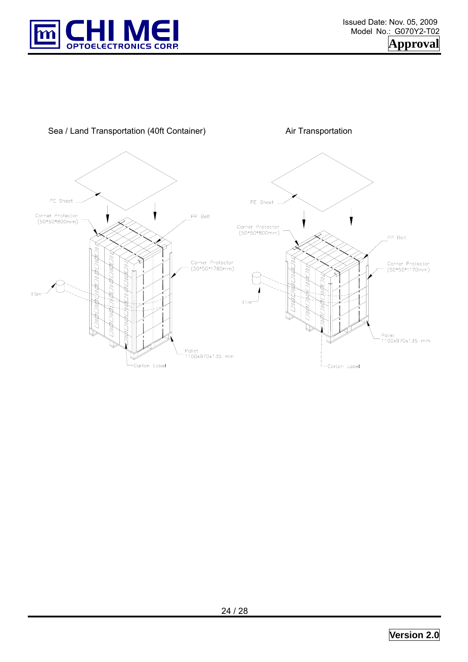![](_page_23_Picture_0.jpeg)

![](_page_23_Figure_2.jpeg)

Sea / Land Transportation (40ft Container) Air Transportation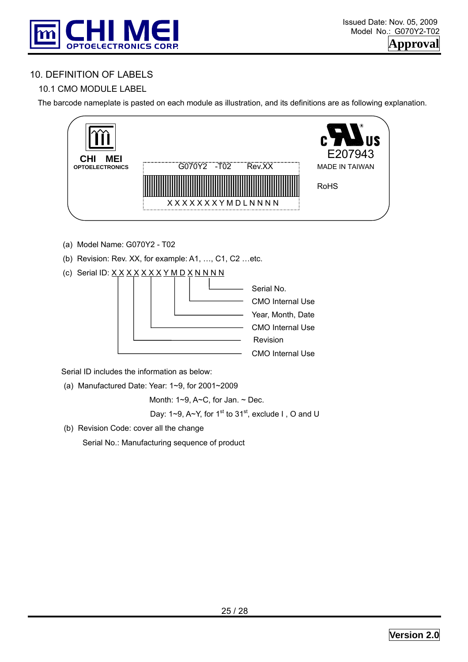![](_page_24_Picture_0.jpeg)

# 10. DEFINITION OF LABELS

## 10.1 CMO MODULE LABEL

The barcode nameplate is pasted on each module as illustration, and its definitions are as following explanation.

![](_page_24_Figure_5.jpeg)

- (a) Model Name: G070Y2 T02
- (b) Revision: Rev. XX, for example: A1, …, C1, C2 …etc.
- (c) Serial ID: X X X X X X X Y M D X N N N N

![](_page_24_Figure_9.jpeg)

Serial ID includes the information as below:

(a) Manufactured Date: Year: 1~9, for 2001~2009

Month: 1~9, A~C, for Jan. ~ Dec.

Day: 1~9, A~Y, for 1<sup>st</sup> to 31<sup>st</sup>, exclude I, O and U

(b) Revision Code: cover all the change Serial No.: Manufacturing sequence of product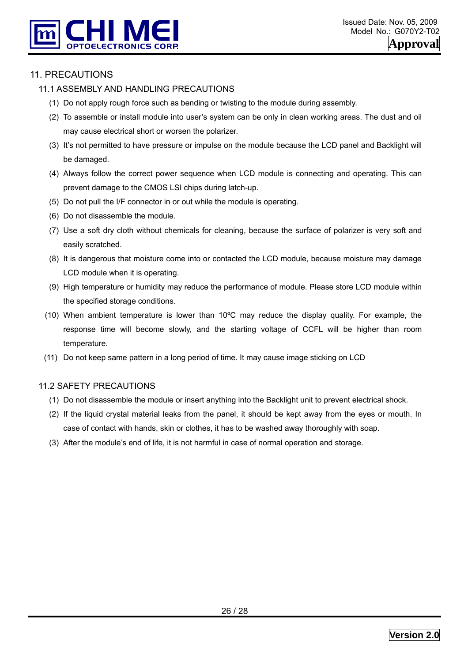![](_page_25_Picture_0.jpeg)

# 11. PRECAUTIONS

#### 11.1 ASSEMBLY AND HANDLING PRECAUTIONS

- (1) Do not apply rough force such as bending or twisting to the module during assembly.
- (2) To assemble or install module into user's system can be only in clean working areas. The dust and oil may cause electrical short or worsen the polarizer.
- (3) It's not permitted to have pressure or impulse on the module because the LCD panel and Backlight will be damaged.
- (4) Always follow the correct power sequence when LCD module is connecting and operating. This can prevent damage to the CMOS LSI chips during latch-up.
- (5) Do not pull the I/F connector in or out while the module is operating.
- (6) Do not disassemble the module.
- (7) Use a soft dry cloth without chemicals for cleaning, because the surface of polarizer is very soft and easily scratched.
- (8) It is dangerous that moisture come into or contacted the LCD module, because moisture may damage LCD module when it is operating.
- (9) High temperature or humidity may reduce the performance of module. Please store LCD module within the specified storage conditions.
- (10) When ambient temperature is lower than 10ºC may reduce the display quality. For example, the response time will become slowly, and the starting voltage of CCFL will be higher than room temperature.
- (11) Do not keep same pattern in a long period of time. It may cause image sticking on LCD

#### 11.2 SAFETY PRECAUTIONS

- (1) Do not disassemble the module or insert anything into the Backlight unit to prevent electrical shock.
- (2) If the liquid crystal material leaks from the panel, it should be kept away from the eyes or mouth. In case of contact with hands, skin or clothes, it has to be washed away thoroughly with soap.
- (3) After the module's end of life, it is not harmful in case of normal operation and storage.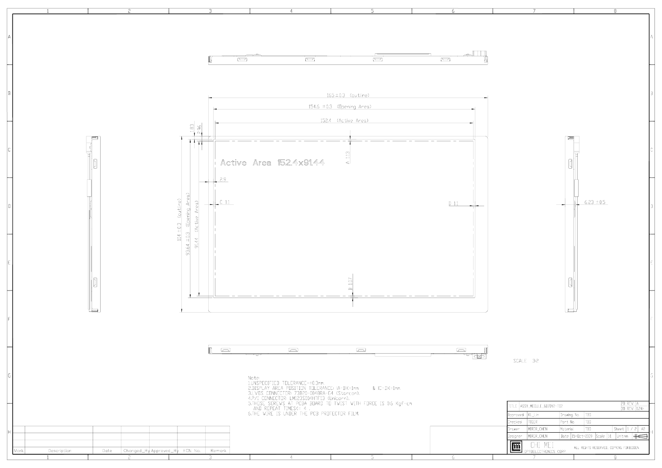![](_page_26_Figure_0.jpeg)